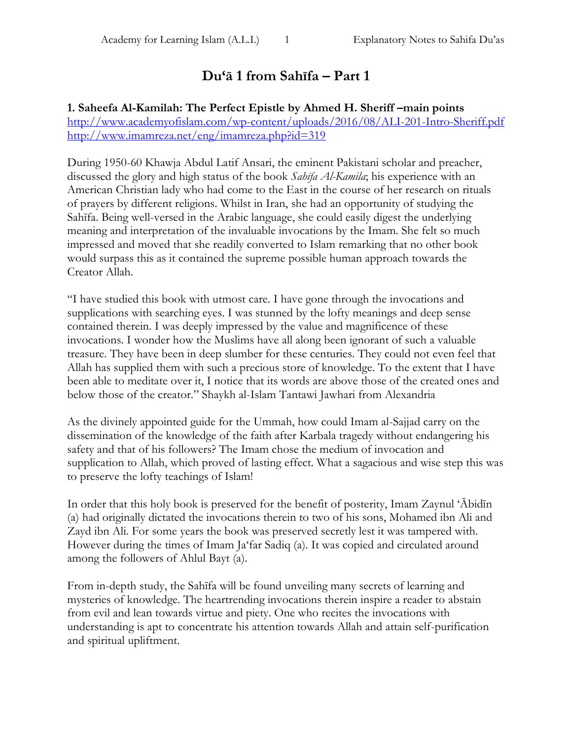# **Du'ā 1 from Sahīfa – Part 1**

#### **1. Saheefa Al-Kamilah: The Perfect Epistle by Ahmed H. Sheriff**  $-$ **main points** <http://www.academyofislam.com/wp-content/uploads/2016/08/ALI-201-Intro-Sheriff.pdf> <http://www.imamreza.net/eng/imamreza.php?id=319>

During 1950-60 Khawja Abdul Latif Ansari, the eminent Pakistani scholar and preacher, discussed the glory and high status of the book *Sahīfa Al-Kamila*; his experience with an American Christian lady who had come to the East in the course of her research on rituals of prayers by different religions. Whilst in Iran, she had an opportunity of studying the Sahīfa. Being well-versed in the Arabic language, she could easily digest the underlying meaning and interpretation of the invaluable invocations by the Imam. She felt so much impressed and moved that she readily converted to Islam remarking that no other book would surpass this as it contained the supreme possible human approach towards the Creator Allah.

"I have studied this book with utmost care. I have gone through the invocations and supplications with searching eyes. I was stunned by the lofty meanings and deep sense contained therein. I was deeply impressed by the value and magnificence of these invocations. I wonder how the Muslims have all along been ignorant of such a valuable treasure. They have been in deep slumber for these centuries. They could not even feel that Allah has supplied them with such a precious store of knowledge. To the extent that I have been able to meditate over it, I notice that its words are above those of the created ones and below those of the creator." Shaykh al-Islam Tantawi Jawhari from Alexandria

As the divinely appointed guide for the Ummah, how could Imam al-Sajjad carry on the dissemination of the knowledge of the faith after Karbala tragedy without endangering his safety and that of his followers? The Imam chose the medium of invocation and supplication to Allah, which proved of lasting effect. What a sagacious and wise step this was to preserve the lofty teachings of Islam!

In order that this holy book is preserved for the benefit of posterity, Imam Zaynul 'Ābidīn (a) had originally dictated the invocations therein to two of his sons, Mohamed ibn Ali and Zayd ibn Ali. For some years the book was preserved secretly lest it was tampered with. However during the times of Imam Ja'far Sadiq (a). It was copied and circulated around among the followers of Ahlul Bayt (a).

From in-depth study, the Sahīfa will be found unveiling many secrets of learning and mysteries of knowledge. The heartrending invocations therein inspire a reader to abstain from evil and lean towards virtue and piety. One who recites the invocations with understanding is apt to concentrate his attention towards Allah and attain self-purification and spiritual upliftment.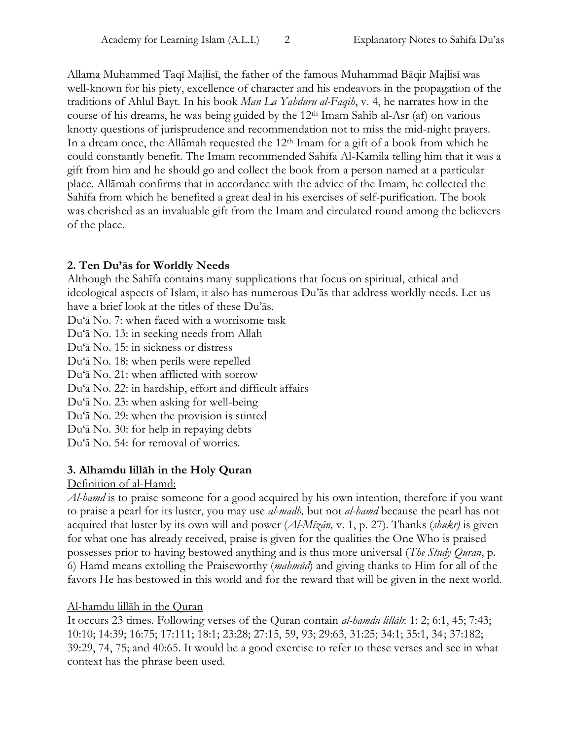Allama Muhammed Taqī Majlisī, the father of the famous Muhammad Bāqir Majlisī was well-known for his piety, excellence of character and his endeavors in the propagation of the traditions of Ahlul Bayt. In his book *Man La Yahduru al-Faqih*, v. 4, he narrates how in the course of his dreams, he was being guided by the  $12<sup>th</sup>$  Imam Sahib al-Asr (af) on various knotty questions of jurisprudence and recommendation not to miss the mid-night prayers. In a dream once, the Allamah requested the 12<sup>th</sup> Imam for a gift of a book from which he could constantly benefit. The Imam recommended Sahīfa Al-Kamila telling him that it was a gift from him and he should go and collect the book from a person named at a particular place. Allāmah confirms that in accordance with the advice of the Imam, he collected the Sahīfa from which he benefited a great deal in his exercises of self-purification. The book was cherished as an invaluable gift from the Imam and circulated round among the believers of the place.

## **2. Ten Du'ās for Worldly Needs**

Although the Sahīfa contains many supplications that focus on spiritual, ethical and ideological aspects of Islam, it also has numerous Du'ās that address worldly needs. Let us have a brief look at the titles of these Du'ās.

Du'ā No. 7: when faced with a worrisome task

Du'ā No. 13: in seeking needs from Allah

Du'ā No. 15: in sickness or distress

Du'ā No. 18: when perils were repelled

Du'ā No. 21: when afflicted with sorrow

Du'ā No. 22: in hardship, effort and difficult affairs

Du'ā No. 23: when asking for well-being

Du'ā No. 29: when the provision is stinted

Du'ā No. 30: for help in repaying debts

Du'ā No. 54: for removal of worries.

## **3. Alhamdu lillāh in the Holy Quran**

Definition of al-Hamd:

*Al-hamd* is to praise someone for a good acquired by his own intention, therefore if you want to praise a pearl for its luster, you may use *al-madh,* but not *al-hamd* because the pearl has not acquired that luster by its own will and power (*Al-Mīzān,* v. 1, p. 27). Thanks (*shukr)* is given for what one has already received, praise is given for the qualities the One Who is praised possesses prior to having bestowed anything and is thus more universal (*The Study Quran*, p. 6) Hamd means extolling the Praiseworthy (*mahmūd*) and giving thanks to Him for all of the favors He has bestowed in this world and for the reward that will be given in the next world.

## Al-hamdu lillāh in the Quran

It occurs 23 times. Following verses of the Quran contain *al-hamdu lillāh*: 1: 2; 6:1, 45; 7:43; 10:10; 14:39; 16:75; 17:111; 18:1; 23:28; 27:15, 59, 93; 29:63, 31:25; 34:1; 35:1, 34; 37:182; 39:29, 74, 75; and 40:65. It would be a good exercise to refer to these verses and see in what context has the phrase been used.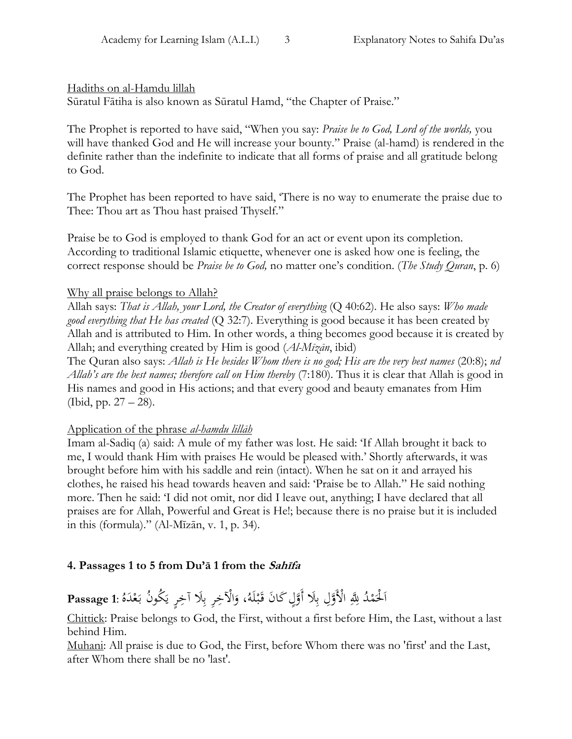#### Hadiths on al-Hamdu lillah

Sūratul Fātiha is also known as Sūratul Hamd, "the Chapter of Praise."

The Prophet is reported to have said, "When you say: *Praise be to God, Lord of the worlds,* you will have thanked God and He will increase your bounty." Praise (al-hamd) is rendered in the definite rather than the indefinite to indicate that all forms of praise and all gratitude belong to God.

The Prophet has been reported to have said, 'There is no way to enumerate the praise due to Thee: Thou art as Thou hast praised Thyself."

Praise be to God is employed to thank God for an act or event upon its completion. According to traditional Islamic etiquette, whenever one is asked how one is feeling, the correct response should be *Praise be to God,* no matter one's condition. (*The Study Quran*, p. 6)

#### Why all praise belongs to Allah?

Allah says: *That is Allah, your Lord, the Creator of everything* (Q 40:62). He also says: *Who made good everything that He has created* (Q 32:7). Everything is good because it has been created by Allah and is attributed to Him. In other words, a thing becomes good because it is created by Allah; and everything created by Him is good (*Al-Mīzān*, ibid)

The Quran also says: *Allah is He besides Whom there is no god; His are the very best names* (20:8); *nd Allah's are the best names; therefore call on Him thereby* (7:180). Thus it is clear that Allah is good in His names and good in His actions; and that every good and beauty emanates from Him (Ibid, pp. 27 – 28).

## Application of the phrase *al-hamdu lillāh*

Imam al-Sadiq (a) said: A mule of my father was lost. He said: 'If Allah brought it back to me, I would thank Him with praises He would be pleased with.' Shortly afterwards, it was brought before him with his saddle and rein (intact). When he sat on it and arrayed his clothes, he raised his head towards heaven and said: 'Praise be to Allah." He said nothing more. Then he said: 'I did not omit, nor did I leave out, anything; I have declared that all praises are for Allah, Powerful and Great is He!; because there is no praise but it is included in this (formula)." (Al-Mīzān, v. 1, p. 34).

## **4. Passages 1 to 5 from Du'ā 1 from the Sahīfa**

#### Passage 1: كُمْدُ لِلّهِ الْأَوَّلِ بِلَا أَوَّلٍ كَانَ قَبْلَهُ، وَالْآخِرِ بِلَا آخِرٍ يَكُونُ بَعْدَهُ :**P**assage 1 ل<br>ا ب<br>: يا<br>. ِ<br>ب َ ح َ ِ<br>ب َ ح .<br>. ا

Chittick: Praise belongs to God, the First, without a first before Him, the Last, without a last behind Him.

Muhani: All praise is due to God, the First, before Whom there was no 'first' and the Last, after Whom there shall be no 'last'.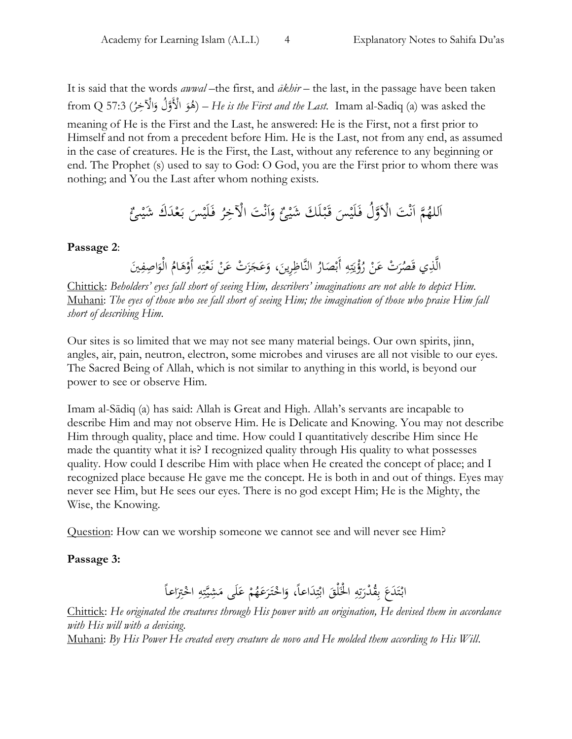It is said that the words *awwal* –the first, and *ākhir* – the last, in the passage have been taken from Q 57:3 ( و ُ ه احْلخَ هوُل و احْلَ ُ ر – ( *He is the First and the Last.* Imam al-Sadiq (a) was asked the َ َ meaning of He is the First and the Last, he answered: He is the First, not a first prior to Himself and not from a precedent before Him. He is the Last, not from any end, as assumed in the case of creatures. He is the First, the Last, without any reference to any beginning or end. The Prophet (s) used to say to God: O God, you are the First prior to whom there was nothing; and You the Last after whom nothing exists.

َت احلَ ح ن َ ا ه م ُ لله َ ا ٌ ىئ ح َ َك َشي حد ع َ ب َ حس لَي َ ف ُ ر َت احْلخَ ح ن َ ا َ و ٌ حئ َك َشي لَ ح ب َ ق َ حس لَي َ وُل ف ه

**Passage 2**:

الَّذِي قَصُرَتْ عَنْ رُؤْيَتِهِ أَبْصَارُ النَّاظِرِينَ، وَعَجَزَتْ عَنْ نَعْتِهِ أَوْهَامُ الْوَاصِفِينَ<br>يَسْمَدُونَ عَنْ رُؤْيَتِهِ أَبْصَارُ النَّاظِرِينَ، وَعَجَزَتْ عَنْ نَعْتِهِ أَوْهَامُ الْوَاصِفِينَ .<br>قم ا َ َ ح َ .<br>بر ت ح .<br>أ .<br>-َ  $\ddot{\phantom{0}}$  $\ddot{\phantom{0}}$ َ .<br>بر ت يا<br>أ ي ح :<br>أ ر<br>ا

Chittick: *Beholders' eyes fall short of seeing Him, describers' imaginations are not able to depict Him.* Muhani: *The eyes of those who see fall short of seeing Him; the imagination of those who praise Him fall short of describing Him.*

Our sites is so limited that we may not see many material beings. Our own spirits, jinn, angles, air, pain, neutron, electron, some microbes and viruses are all not visible to our eyes. The Sacred Being of Allah, which is not similar to anything in this world, is beyond our power to see or observe Him.

Imam al-Sādiq (a) has said: Allah is Great and High. Allah's servants are incapable to describe Him and may not observe Him. He is Delicate and Knowing. You may not describe Him through quality, place and time. How could I quantitatively describe Him since He made the quantity what it is? I recognized quality through His quality to what possesses quality. How could I describe Him with place when He created the concept of place; and I recognized place because He gave me the concept. He is both in and out of things. Eyes may never see Him, but He sees our eyes. There is no god except Him; He is the Mighty, the Wise, the Knowing.

Question: How can we worship someone we cannot see and will never see Him?

#### **Passage 3:**

ابْتَدَعَ بِقُدْرَتِهِ الْخَلْقَ ابْتِدَاعاً، وَاخْتَرَعَهُمْ عَلَى مَشِيَّتِهِ اخْتِرَاعاً<br>. َ ح **ء** ر<br>. .<br>ح َ َ .<br>بر :<br>. با<br>أ ِّبَّ ني<br>أ َ ِ<br>ن ة<br>ت ر<br>. با ب َ ت ح َ .<br>ح َ .<br>بر :<br>. ي<br>م

Chittick: *He originated the creatures through His power with an origination, He devised them in accordance with His will with a devising*. Muhani: *By His Power He created every creature de novo and He molded them according to His Will*.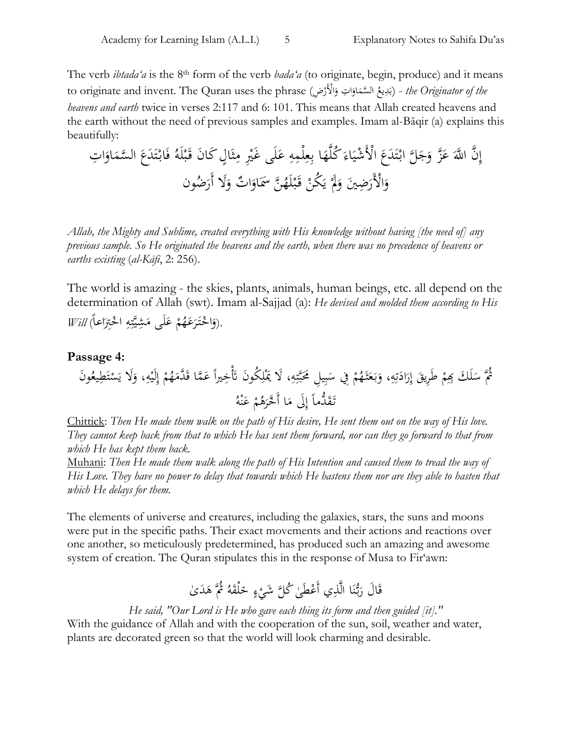The verb *ibtada'a* is the 8th form of the verb *bada'a* (to originate, begin, produce) and it means to originate and invent. The Quran uses the phrase (بَدِيعُ السَّمَاوَاتِ وَالْأَرْضِ) *- the Originator of the* ح َ ا َ **ه** َ َ *heavens and earth* twice in verses 2:117 and 6: 101. This means that Allah created heavens and the earth without the need of previous samples and examples. Imam al-Bāqir (a) explains this beautifully:

لَ َ ع َ ه حلمَ َ ع َ ا ب َ ه ه ُكل َ اء َ حشي احْلَ َ َع َد ت ح َ هل اب َج ز و ه َ ع َ ن ا هّلِل ه َ َن إ ٍل َكا ا َ ث َ َ م ح َ ى َغْي َع َد ت ح اب َ ف ُ لَه ح ب َ َت ق ا َ او َ هسم ال َ ُضون َل أَر َ ٌت و ا َ او ن ََسَ ه ُ لَه ح ب َ ق ح ُكن َ ي ح ََل َ َض َي <sup>و</sup> َ احْلَر َ و

*Allah, the Mighty and Sublime, created everything with His knowledge without having [the need of] any previous sample. So He originated the heavens and the earth, when there was no precedence of heavens or earths existing* (*al-Kāfī*, 2: 256).

The world is amazing - the skies, plants, animals, human beings, etc. all depend on the determination of Allah (swt). Imam al-Sajjad (a): *He devised and molded them according to His*  .(وَاحْتَرَعَهُمْ عَلَى مَشِيَّتِهِ احْتِرَاعاً*) Will* َ .<br>ح َ .<br>بر ت نکد<br>په **ء** ح **ء** ر<br>. .<br>ح َ

#### **Passage 4:** ح ثُمَّ سَلَكَ بِمِمْ طَرِيقَ إِرَادَتِهِ، وَبَعَثَهُمْ فِي سَبِيلِ مَحَبَّتِهِ، لَا يَمْلِكُونَ تَأْخِيراً عَمَّا قَدَّمَهُمْ إِلَيْهِ، وَلَا يَسْتَطِيعُونَ  $\overline{a}$ َ ت<br>ا j َ .<br>بر ت بة<br>بم </sub>  $\ddot{\cdot}$ ب  $\ddot{\phantom{0}}$ ح **ٔ** ب<br>: َ َ ِ<br>ت ت  $\ddot{\phantom{0}}$ ر<br>ا ا إ .<br>ا ح  $\ddot{\phantom{0}}$ اً إ ;<br>أ ت </sub><br>أ َ َ ح تَقَدَّماً إِلَى مَا أَخَّرَهُمْ عَنْهُ ه<br>م **ء** ح ر<br>ّ  $\overline{\phantom{a}}$ ٳ .<br>م

Chittick: *Then He made them walk on the path of His desire, He sent them out on the way of His love. They cannot keep back from that to which He has sent them forward, nor can they go forward to that from which He has kept them back.*

Muhani: *Then He made them walk along the path of His Intention and caused them to tread the way of His Love. They have no power to delay that towards which He hastens them nor are they able to hasten that which He delays for them.*

The elements of universe and creatures, including the galaxies, stars, the suns and moons were put in the specific paths. Their exact movements and their actions and reactions over one another, so meticulously predetermined, has produced such an amazing and awesome system of creation. The Quran stipulates this in the response of Musa to Fir'awn:

#### قَالَ رَبُّنَا الَّذِي أَعْطَىٰ كُلَّ شَيْءٍ خَلْقَهُ ثُمَّ هَدَىٰ َ .<br>م .<br>چ ح .<br>. ن ر<br>ا َ

*He said, "Our Lord is He who gave each thing its form and then guided [it]."*

With the guidance of Allah and with the cooperation of the sun, soil, weather and water, plants are decorated green so that the world will look charming and desirable.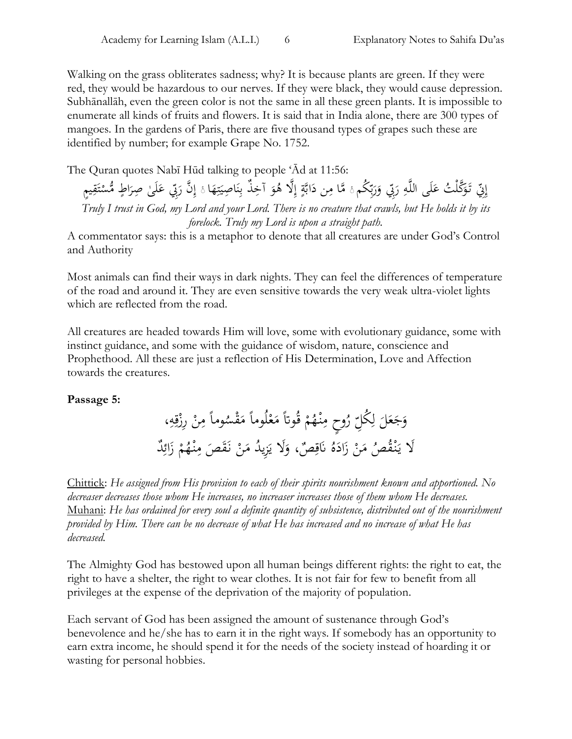Walking on the grass obliterates sadness; why? It is because plants are green. If they were red, they would be hazardous to our nerves. If they were black, they would cause depression. Subhānallāh, even the green color is not the same in all these green plants. It is impossible to enumerate all kinds of fruits and flowers. It is said that in India alone, there are 300 types of mangoes. In the gardens of Paris, there are five thousand types of grapes such these are identified by number; for example Grape No. 1752.

The Quran quotes Nabī Hūd talking to people 'Ād at 11:56:

إِنّي تَوَكَّلْتُ عَلَى اللَّهِ رَبِّي وَرَبِّكُم ۚ مَّا مِن دَابَّةٍ إِلَّا هُوَ آخِذٌ بِنَاصِيَتِهَا ۚ إِنَّ رَبِّي عَلَىٰ صِرَاطٍ مُّسْتَقِيمٍ **ء** َ بہ<br>ب ر<br>ا َ ر<br>. َ į َ <u>:</u> ت ؞  $\ddot{\phantom{0}}$ ن ِّ. و<br>ر إ <u>ۃ</u>  $\ddot{\phantom{0}}$  $\overline{\phantom{a}}$ į **ء** ر<br>. ا ِ<br>م ;<br>أ ت </sub><br>أ ا ر<br>. ا<br>ا *Truly I trust in God, my Lord and your Lord. There is no creature that crawls, but He holds it by its forelock. Truly my Lord is upon a straight path.*

A commentator says: this is a metaphor to denote that all creatures are under God's Control and Authority

Most animals can find their ways in dark nights. They can feel the differences of temperature of the road and around it. They are even sensitive towards the very weak ultra-violet lights which are reflected from the road.

All creatures are headed towards Him will love, some with evolutionary guidance, some with instinct guidance, and some with the guidance of wisdom, nature, conscience and Prophethood. All these are just a reflection of His Determination, Love and Affection towards the creatures.

**Passage 5:**

وماً مِنْ رِزْقِهِ، َ ة<br>ق ح .<br>-ِ<br>م لِّ رُوحٍ مِنْـهُمْ قُوتاً مَعْلُوماً مَقْسُه َ ح َ ح ِ<br>م وَجَعَلَ لِكَلِّ َ ل ً<br>ب **م**<br>. .<br>-لَا يَنْقُصُ مَنْ زَادَهُ نَاقِصٌ، وَلَا يَزِيدُ مَنْ نَقَصَ مِنْهُمْ زَائِدٌ  $\overline{\phantom{a}}$ یز<br>-َ <u>ة</u> :<br>نا  $\ddot{\phantom{0}}$ َ ح َ یہ<br>ا ر<br>ب َ ح ِ<br>م ة<br>م

Chittick: *He assigned from His provision to each of their spirits nourishment known and apportioned. No decreaser decreases those whom He increases, no increaser increases those of them whom He decreases.* Muhani: *He has ordained for every soul a definite quantity of subsistence, distributed out of the nourishment provided by Him. There can be no decrease of what He has increased and no increase of what He has decreased.*

The Almighty God has bestowed upon all human beings different rights: the right to eat, the right to have a shelter, the right to wear clothes. It is not fair for few to benefit from all privileges at the expense of the deprivation of the majority of population.

Each servant of God has been assigned the amount of sustenance through God's benevolence and he/she has to earn it in the right ways. If somebody has an opportunity to earn extra income, he should spend it for the needs of the society instead of hoarding it or wasting for personal hobbies.